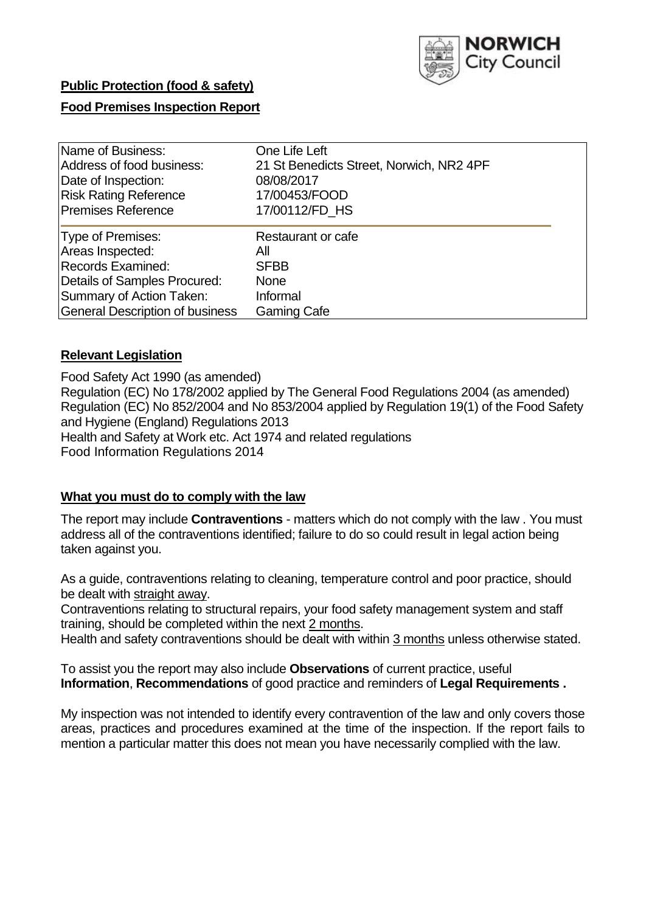

# **Public Protection (food & safety)**

# **Food Premises Inspection Report**

| Name of Business:                      | One Life Left                            |
|----------------------------------------|------------------------------------------|
| Address of food business:              | 21 St Benedicts Street, Norwich, NR2 4PF |
| Date of Inspection:                    | 08/08/2017                               |
| <b>Risk Rating Reference</b>           | 17/00453/FOOD                            |
| <b>Premises Reference</b>              | 17/00112/FD HS                           |
| Type of Premises:                      | Restaurant or cafe                       |
| Areas Inspected:                       | All                                      |
| <b>Records Examined:</b>               | <b>SFBB</b>                              |
| Details of Samples Procured:           | <b>None</b>                              |
| Summary of Action Taken:               | Informal                                 |
| <b>General Description of business</b> | <b>Gaming Cafe</b>                       |

# **Relevant Legislation**

Food Safety Act 1990 (as amended) Regulation (EC) No 178/2002 applied by The General Food Regulations 2004 (as amended) Regulation (EC) No 852/2004 and No 853/2004 applied by Regulation 19(1) of the Food Safety and Hygiene (England) Regulations 2013 Health and Safety at Work etc. Act 1974 and related regulations Food Information Regulations 2014

# **What you must do to comply with the law**

The report may include **Contraventions** - matters which do not comply with the law . You must address all of the contraventions identified; failure to do so could result in legal action being taken against you.

As a guide, contraventions relating to cleaning, temperature control and poor practice, should be dealt with straight away.

Contraventions relating to structural repairs, your food safety management system and staff training, should be completed within the next 2 months.

Health and safety contraventions should be dealt with within 3 months unless otherwise stated.

To assist you the report may also include **Observations** of current practice, useful **Information**, **Recommendations** of good practice and reminders of **Legal Requirements .**

My inspection was not intended to identify every contravention of the law and only covers those areas, practices and procedures examined at the time of the inspection. If the report fails to mention a particular matter this does not mean you have necessarily complied with the law.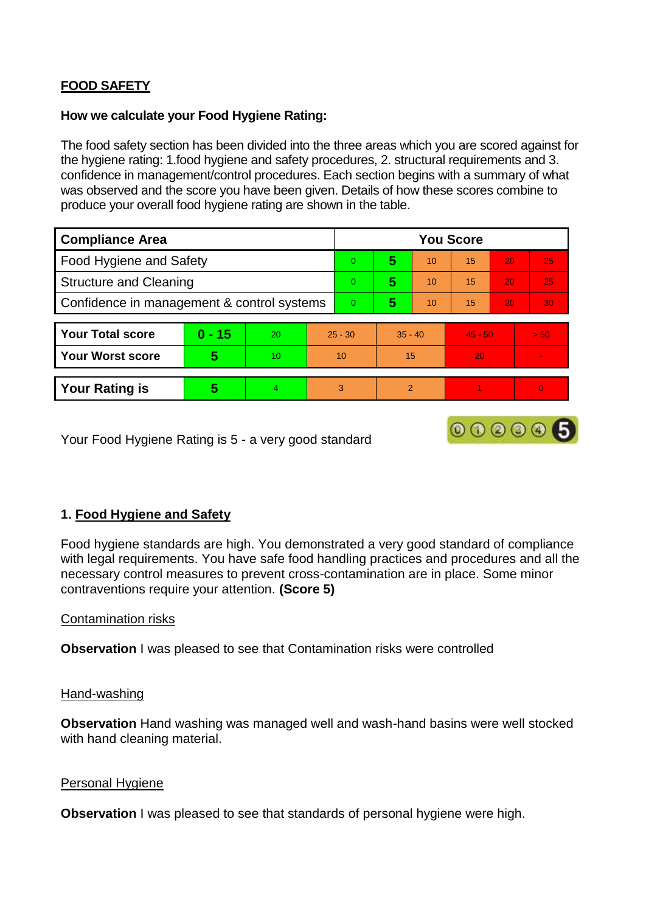# **FOOD SAFETY**

# **How we calculate your Food Hygiene Rating:**

The food safety section has been divided into the three areas which you are scored against for the hygiene rating: 1.food hygiene and safety procedures, 2. structural requirements and 3. confidence in management/control procedures. Each section begins with a summary of what was observed and the score you have been given. Details of how these scores combine to produce your overall food hygiene rating are shown in the table.

| <b>Compliance Area</b>                     |          |    |                | <b>You Score</b> |                |    |           |    |                          |  |  |
|--------------------------------------------|----------|----|----------------|------------------|----------------|----|-----------|----|--------------------------|--|--|
| Food Hygiene and Safety                    |          |    |                | $\Omega$         | 5              | 10 | 15        | 20 | 25                       |  |  |
| <b>Structure and Cleaning</b>              |          |    | $\Omega$       | 5                | 10             | 15 | 20        | 25 |                          |  |  |
| Confidence in management & control systems |          |    | $\overline{0}$ | 5                | 10             | 15 | 20        | 30 |                          |  |  |
|                                            |          |    |                |                  |                |    |           |    |                          |  |  |
| <b>Your Total score</b>                    | $0 - 15$ | 20 | $25 - 30$      |                  | $35 - 40$      |    | $45 - 50$ |    | > 50                     |  |  |
| <b>Your Worst score</b>                    | 5        | 10 | 10             |                  | 15             |    | 20        |    | $\overline{\phantom{a}}$ |  |  |
|                                            |          |    |                |                  |                |    |           |    |                          |  |  |
| <b>Your Rating is</b>                      | 5        | 4  | 3              |                  | $\overline{2}$ |    |           |    |                          |  |  |

Your Food Hygiene Rating is 5 - a very good standard

# **1. Food Hygiene and Safety**

Food hygiene standards are high. You demonstrated a very good standard of compliance with legal requirements. You have safe food handling practices and procedures and all the necessary control measures to prevent cross-contamination are in place. Some minor contraventions require your attention. **(Score 5)**

000006

# Contamination risks

**Observation I** was pleased to see that Contamination risks were controlled

### Hand-washing

**Observation** Hand washing was managed well and wash-hand basins were well stocked with hand cleaning material.

### Personal Hygiene

**Observation** I was pleased to see that standards of personal hygiene were high.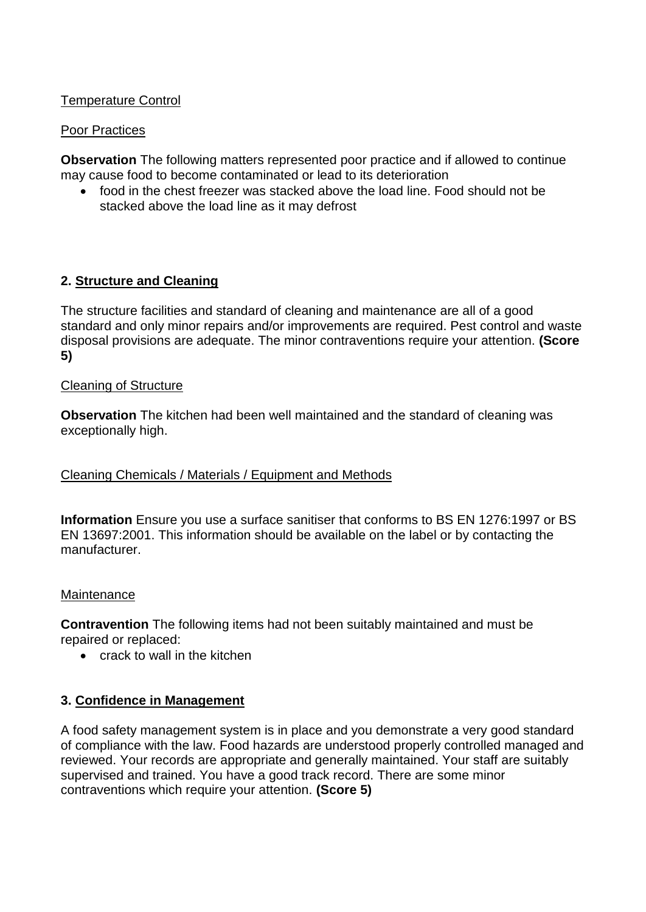# Temperature Control

### Poor Practices

**Observation** The following matters represented poor practice and if allowed to continue may cause food to become contaminated or lead to its deterioration

 food in the chest freezer was stacked above the load line. Food should not be stacked above the load line as it may defrost

# **2. Structure and Cleaning**

The structure facilities and standard of cleaning and maintenance are all of a good standard and only minor repairs and/or improvements are required. Pest control and waste disposal provisions are adequate. The minor contraventions require your attention. **(Score 5)**

### Cleaning of Structure

**Observation** The kitchen had been well maintained and the standard of cleaning was exceptionally high.

# Cleaning Chemicals / Materials / Equipment and Methods

**Information** Ensure you use a surface sanitiser that conforms to BS EN 1276:1997 or BS EN 13697:2001. This information should be available on the label or by contacting the manufacturer.

### Maintenance

**Contravention** The following items had not been suitably maintained and must be repaired or replaced:

• crack to wall in the kitchen

# **3. Confidence in Management**

A food safety management system is in place and you demonstrate a very good standard of compliance with the law. Food hazards are understood properly controlled managed and reviewed. Your records are appropriate and generally maintained. Your staff are suitably supervised and trained. You have a good track record. There are some minor contraventions which require your attention. **(Score 5)**